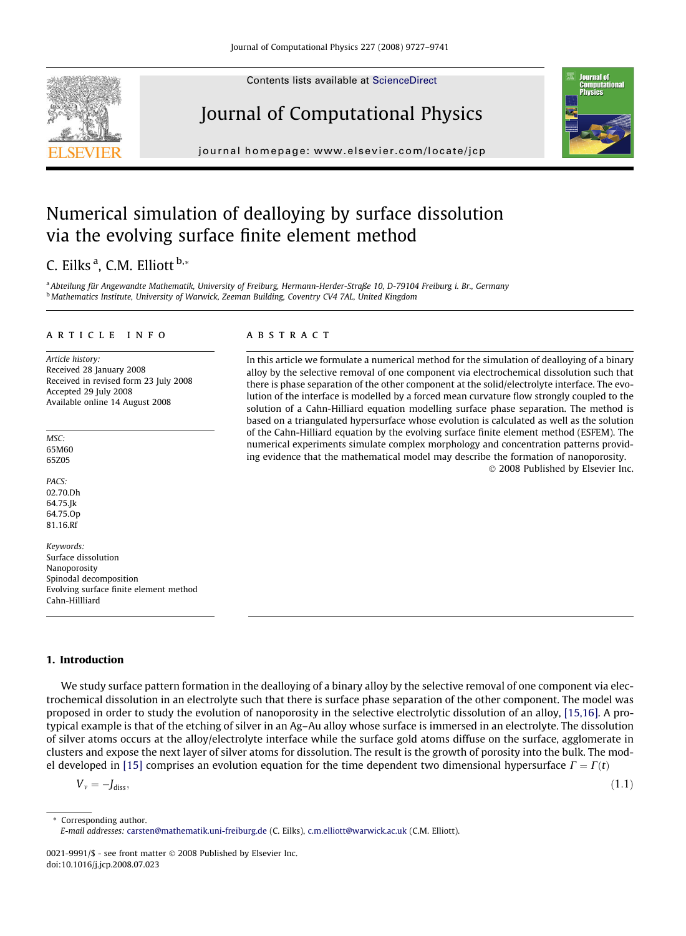Contents lists available at [ScienceDirect](http://www.sciencedirect.com/science/journal/00219991)

# Journal of Computational Physics

journal homepage: [www.elsevier.com/locate/jcp](http://www.elsevier.com/locate/jcp)

# Numerical simulation of dealloying by surface dissolution via the evolving surface finite element method

# C. Eilks <sup>a</sup>, C.M. Elliott <sup>b,</sup>\*

a Abteilung für Angewandte Mathematik, University of Freiburg, Hermann-Herder-Straße 10, D-79104 Freiburg i. Br., Germany <sup>b</sup> Mathematics Institute, University of Warwick, Zeeman Building, Coventry CV4 7AL, United Kingdom

#### article info

Article history: Received 28 January 2008 Received in revised form 23 July 2008 Accepted 29 July 2008 Available online 14 August 2008

MSC: 65M60 65Z05

PACS: 02.70.Dh 64.75.Jk 64.75.Op 81.16.Rf

Keywords: Surface dissolution Nanoporosity Spinodal decomposition Evolving surface finite element method Cahn-Hillliard

# 1. Introduction

We study surface pattern formation in the dealloying of a binary alloy by the selective removal of one component via electrochemical dissolution in an electrolyte such that there is surface phase separation of the other component. The model was proposed in order to study the evolution of nanoporosity in the selective electrolytic dissolution of an alloy, [\[15,16\].](#page-14-0) A protypical example is that of the etching of silver in an Ag–Au alloy whose surface is immersed in an electrolyte. The dissolution of silver atoms occurs at the alloy/electrolyte interface while the surface gold atoms diffuse on the surface, agglomerate in clusters and expose the next layer of silver atoms for dissolution. The result is the growth of porosity into the bulk. The mod-el developed in [\[15\]](#page-14-0) comprises an evolution equation for the time dependent two dimensional hypersurface  $\Gamma = \Gamma(t)$ 

 $V_v = -J_{\text{diss}}$ 

\* Corresponding author. E-mail addresses: [carsten@mathematik.uni-freiburg.de](mailto:carsten@mathematik.uni-freiburg.de) (C. Eilks), [c.m.elliott@warwick.ac.uk](mailto:c.m.elliott@warwick.ac.uk) (C.M. Elliott).

0021-9991/\$ - see front matter © 2008 Published by Elsevier Inc. doi:10.1016/j.jcp.2008.07.023

# **ABSTRACT**

In this article we formulate a numerical method for the simulation of dealloying of a binary alloy by the selective removal of one component via electrochemical dissolution such that there is phase separation of the other component at the solid/electrolyte interface. The evolution of the interface is modelled by a forced mean curvature flow strongly coupled to the solution of a Cahn-Hilliard equation modelling surface phase separation. The method is based on a triangulated hypersurface whose evolution is calculated as well as the solution of the Cahn-Hilliard equation by the evolving surface finite element method (ESFEM). The numerical experiments simulate complex morphology and concentration patterns providing evidence that the mathematical model may describe the formation of nanoporosity. - 2008 Published by Elsevier Inc.





 $J_{\text{diss}}$ , (1.1)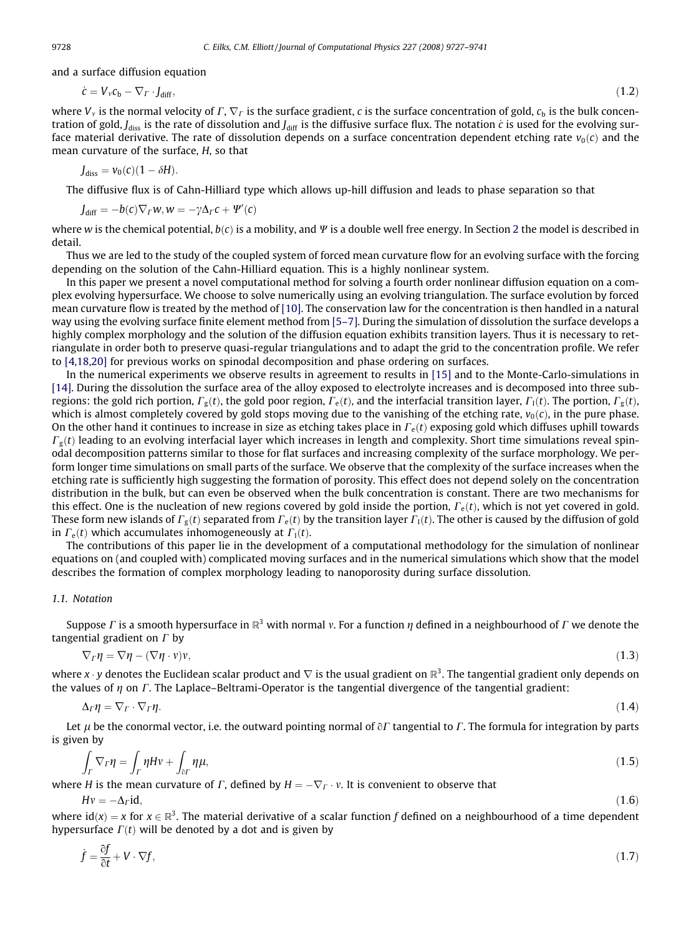<span id="page-1-0"></span>and a surface diffusion equation

$$
\dot{\mathbf{c}} = V_{\nu} \mathbf{c}_b - \nabla_{\Gamma} \cdot \mathbf{J}_{\text{diff}},\tag{1.2}
$$

where  $V_y$  is the normal velocity of  $\Gamma$ ,  $\nabla \Gamma$  is the surface gradient, c is the surface concentration of gold,  $c<sub>b</sub>$  is the bulk concentration of gold, J<sub>diss</sub> is the rate of dissolution and J<sub>diff</sub> is the diffusive surface flux. The notation c is used for the evolving surface material derivative. The rate of dissolution depends on a surface concentration dependent etching rate  $v_0(c)$  and the mean curvature of the surface, H, so that

$$
J_{\text{diss}} = \nu_0(c)(1 - \delta H).
$$

The diffusive flux is of Cahn-Hilliard type which allows up-hill diffusion and leads to phase separation so that

$$
J_{\text{diff}} = -b(c)\nabla_{\Gamma}w, w = -\gamma\Delta_{\Gamma}c + \Psi'(c)
$$

where w is the chemical potential,  $b(c)$  is a mobility, and  $\Psi$  is a double well free energy. In Section 2 the model is described in detail.

Thus we are led to the study of the coupled system of forced mean curvature flow for an evolving surface with the forcing depending on the solution of the Cahn-Hilliard equation. This is a highly nonlinear system.

In this paper we present a novel computational method for solving a fourth order nonlinear diffusion equation on a complex evolving hypersurface. We choose to solve numerically using an evolving triangulation. The surface evolution by forced mean curvature flow is treated by the method of [\[10\].](#page-14-0) The conservation law for the concentration is then handled in a natural way using the evolving surface finite element method from [\[5–7\].](#page-14-0) During the simulation of dissolution the surface develops a highly complex morphology and the solution of the diffusion equation exhibits transition layers. Thus it is necessary to retriangulate in order both to preserve quasi-regular triangulations and to adapt the grid to the concentration profile. We refer to [\[4,18,20\]](#page-14-0) for previous works on spinodal decomposition and phase ordering on surfaces.

In the numerical experiments we observe results in agreement to results in [\[15\]](#page-14-0) and to the Monte-Carlo-simulations in [\[14\].](#page-14-0) During the dissolution the surface area of the alloy exposed to electrolyte increases and is decomposed into three subregions: the gold rich portion,  $\Gamma_g(t)$ , the gold poor region,  $\Gamma_e(t)$ , and the interfacial transition layer,  $\Gamma_1(t)$ . The portion,  $\Gamma_g(t)$ , which is almost completely covered by gold stops moving due to the vanishing of the etching rate,  $v_0(c)$ , in the pure phase. On the other hand it continues to increase in size as etching takes place in  $\Gamma_e(t)$  exposing gold which diffuses uphill towards  $\Gamma_g(t)$  leading to an evolving interfacial layer which increases in length and complexity. Short time simulations reveal spinodal decomposition patterns similar to those for flat surfaces and increasing complexity of the surface morphology. We perform longer time simulations on small parts of the surface. We observe that the complexity of the surface increases when the etching rate is sufficiently high suggesting the formation of porosity. This effect does not depend solely on the concentration distribution in the bulk, but can even be observed when the bulk concentration is constant. There are two mechanisms for this effect. One is the nucleation of new regions covered by gold inside the portion,  $\Gamma_e(t)$ , which is not yet covered in gold. These form new islands of  $\Gamma_g(t)$  separated from  $\Gamma_g(t)$  by the transition layer  $\Gamma_1(t)$ . The other is caused by the diffusion of gold in  $\Gamma_e(t)$  which accumulates inhomogeneously at  $\Gamma_1(t)$ .

The contributions of this paper lie in the development of a computational methodology for the simulation of nonlinear equations on (and coupled with) complicated moving surfaces and in the numerical simulations which show that the model describes the formation of complex morphology leading to nanoporosity during surface dissolution.

# 1.1. Notation

Suppose  $\Gamma$  is a smooth hypersurface in  $\mathbb{R}^3$  with normal v. For a function  $\eta$  defined in a neighbourhood of  $\Gamma$  we denote the tangential gradient on  $\Gamma$  by

$$
\nabla_{\Gamma}\eta = \nabla\eta - (\nabla\eta \cdot \mathbf{v})\mathbf{v},\tag{1.3}
$$

where x  $\cdot$  y denotes the Euclidean scalar product and  $\nabla$  is the usual gradient on  $\mathbb{R}^3$ . The tangential gradient only depends on the values of  $\eta$  on  $\Gamma$ . The Laplace–Beltrami-Operator is the tangential divergence of the tangential gradient:

$$
\Delta_{\Gamma}\eta = \nabla_{\Gamma} \cdot \nabla_{\Gamma}\eta. \tag{1.4}
$$

Let  $\mu$  be the conormal vector, i.e. the outward pointing normal of  $\partial\Gamma$  tangential to  $\Gamma$ . The formula for integration by parts is given by

$$
\int_{\Gamma} \nabla_{\Gamma} \eta = \int_{\Gamma} \eta H \nu + \int_{\partial \Gamma} \eta \mu,\tag{1.5}
$$

where H is the mean curvature of  $\Gamma$ , defined by  $H = -\nabla_{\Gamma} \cdot v$ . It is convenient to observe that

$$
Hv = -\Delta_{\Gamma} \mathrm{id},\tag{1.6}
$$

where  $\text{id}(x) = x$  for  $x \in \mathbb{R}^3$ . The material derivative of a scalar function f defined on a neighbourhood of a time dependent hypersurface  $\Gamma(t)$  will be denoted by a dot and is given by

$$
\dot{f} = \frac{\partial f}{\partial t} + V \cdot \nabla f,\tag{1.7}
$$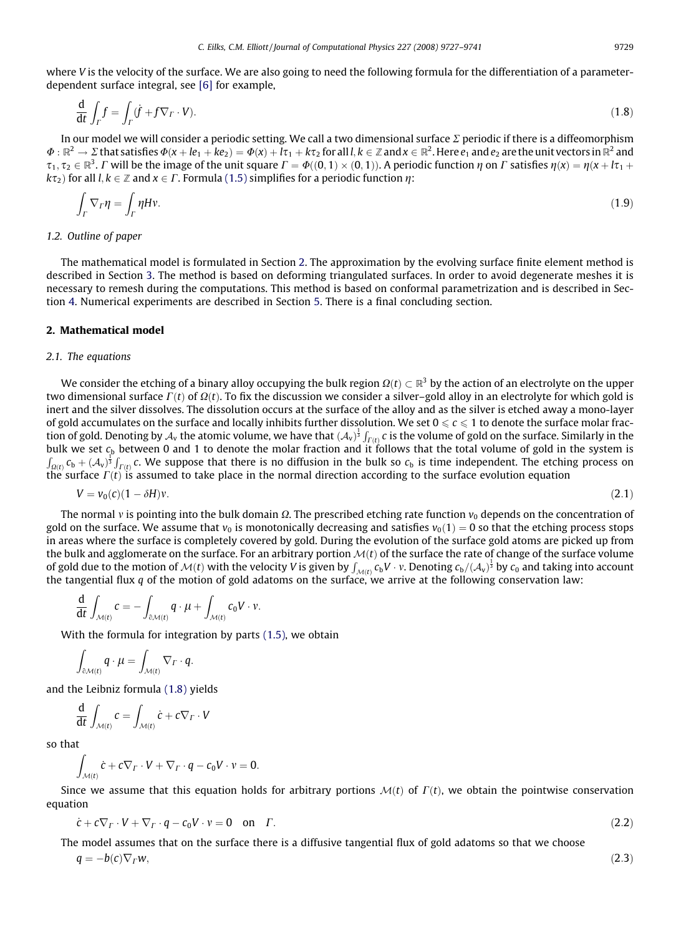<span id="page-2-0"></span>where V is the velocity of the surface. We are also going to need the following formula for the differentiation of a parameterdependent surface integral, see [\[6\]](#page-14-0) for example,

$$
\frac{\mathrm{d}}{\mathrm{d}t} \int_{\Gamma} f = \int_{\Gamma} (\dot{f} + f \nabla_{\Gamma} \cdot V). \tag{1.8}
$$

In our model we will consider a periodic setting. We call a two dimensional surface  $\Sigma$  periodic if there is a diffeomorphism  $\Phi: \mathbb{R}^2 \to \Sigma$  that satisfies  $\Phi(x+le_1+ke_2)=\Phi(x)+l\tau_1+k\tau_2$  for all  $l, k \in \mathbb{Z}$  and  $x \in \mathbb{R}^2$ . Here  $e_1$  and  $e_2$  are the unit vectors in  $\mathbb{R}^2$  and  $\tau_1, \tau_2 \in \mathbb{R}^3$ . C will be the image of the unit square  $\Gamma = \Phi((0,1) \times (0,1))$ . A periodic function  $\eta$  on C satisfies  $\eta(x) = \eta(x + |x_1 + x_2|)$  $k\tau_2$ ) for all  $l, k \in \mathbb{Z}$  and  $x \in \Gamma$ . Formula [\(1.5\)](#page-1-0) simplifies for a periodic function  $\eta$ :

$$
\int_{\Gamma} \nabla_{\Gamma} \eta = \int_{\Gamma} \eta H v. \tag{1.9}
$$

#### 1.2. Outline of paper

The mathematical model is formulated in Section 2. The approximation by the evolving surface finite element method is described in Section 3. The method is based on deforming triangulated surfaces. In order to avoid degenerate meshes it is necessary to remesh during the computations. This method is based on conformal parametrization and is described in Section 4. Numerical experiments are described in Section 5. There is a final concluding section.

#### 2. Mathematical model

#### 2.1. The equations

We consider the etching of a binary alloy occupying the bulk region  $\Omega(t) \subset \mathbb{R}^3$  by the action of an electrolyte on the upper two dimensional surface  $\Gamma(t)$  of  $\Omega(t)$ . To fix the discussion we consider a silver–gold alloy in an electrolyte for which gold is inert and the silver dissolves. The dissolution occurs at the surface of the alloy and as the silver is etched away a mono-layer of gold accumulates on the surface and locally inhibits further dissolution. We set  $0\leqslant c\leqslant 1$  to denote the surface molar fraction of gold. Denoting by  $A_v$  the atomic volume, we have that  $(A_v)^{\frac{1}{3}} \int_{\Gamma(t)} c$  is the volume of gold on the surface. Similarly in the bulk we set  $c_b$  between 0 and 1 to denote the molar fraction and it follows that the total volume of gold in the system is  $\int_{\Omega(t)} c_b + (A_v)^{\frac{1}{3}} \int_{\Gamma(t)} c$ . We suppose that there is no diffusion in the bulk so  $c_b$  is time independent. The etching process on the surface  $\Gamma(t)$  is assumed to take place in the normal direction according to the surface evolution equation

$$
V = \nu_0(c)(1 - \delta H)\nu.
$$
\n<sup>(2.1)</sup>

The normal v is pointing into the bulk domain  $\Omega$ . The prescribed etching rate function  $v_0$  depends on the concentration of gold on the surface. We assume that  $v_0$  is monotonically decreasing and satisfies  $v_0(1) = 0$  so that the etching process stops in areas where the surface is completely covered by gold. During the evolution of the surface gold atoms are picked up from the bulk and agglomerate on the surface. For an arbitrary portion  $M(t)$  of the surface the rate of change of the surface volume of gold due to the motion of  $M(t)$  with the velocity V is given by  $\int_{\mathcal{M}(t)} c_b V \cdot v$ . Denoting  $c_b / (\mathcal{A}_v)^{\frac{1}{3}}$  by  $c_0$  and taking into account the tangential flux  $q$  of the motion of gold adatoms on the surface, we arrive at the following conservation law:

$$
\frac{d}{dt} \int_{\mathcal{M}(t)} c = - \int_{\partial \mathcal{M}(t)} q \cdot \mu + \int_{\mathcal{M}(t)} c_0 V \cdot \nu.
$$

With the formula for integration by parts [\(1.5\)](#page-1-0), we obtain

$$
\int_{\partial \mathcal{M}(t)} q \cdot \mu = \int_{\mathcal{M}(t)} \nabla_{\Gamma} \cdot q.
$$

and the Leibniz formula (1.8) yields

$$
\frac{\mathrm{d}}{\mathrm{d}t} \int_{\mathcal{M}(t)} c = \int_{\mathcal{M}(t)} \dot{c} + c \nabla_{\varGamma} \cdot V
$$

so that

$$
\int_{\mathcal{M}(t)} \dot{c} + c \nabla_{\Gamma} \cdot V + \nabla_{\Gamma} \cdot q - c_0 V \cdot v = 0.
$$

Since we assume that this equation holds for arbitrary portions  $M(t)$  of  $\Gamma(t)$ , we obtain the pointwise conservation equation

$$
\dot{c} + c\nabla_{\Gamma} \cdot V + \nabla_{\Gamma} \cdot q - c_0 V \cdot v = 0 \quad \text{on} \quad \Gamma. \tag{2.2}
$$

The model assumes that on the surface there is a diffusive tangential flux of gold adatoms so that we choose

$$
q = -b(c)\nabla_{\Gamma}w,\tag{2.3}
$$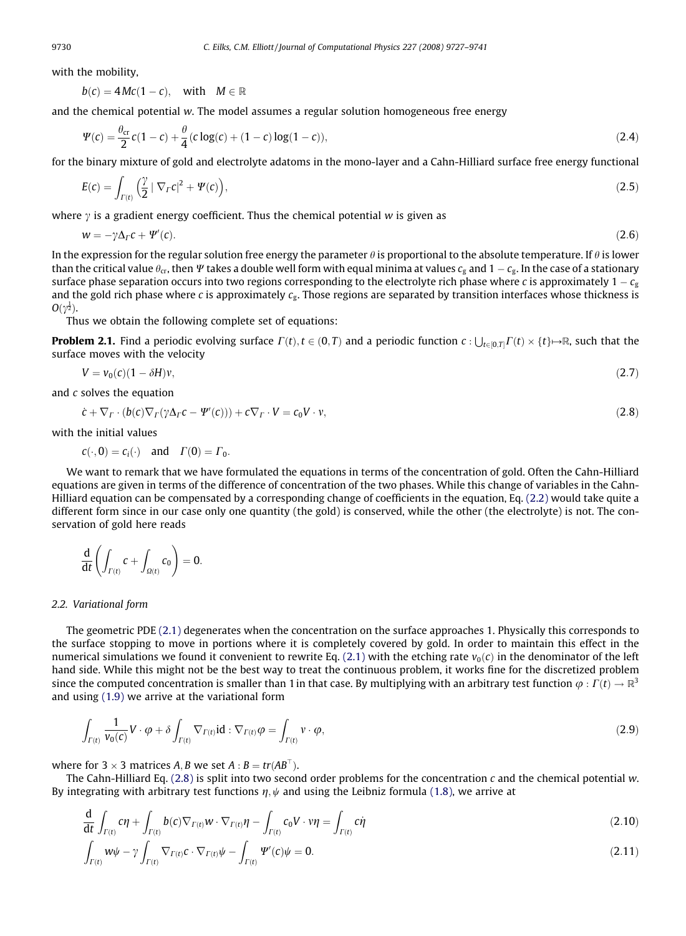with the mobility.

$$
b(c) = 4Mc(1 - c), \quad \text{with} \quad M \in \mathbb{R}
$$

and the chemical potential w. The model assumes a regular solution homogeneous free energy

$$
\Psi(c) = \frac{\theta_{cr}}{2}c(1-c) + \frac{\theta}{4}(c\log(c) + (1-c)\log(1-c)),\tag{2.4}
$$

for the binary mixture of gold and electrolyte adatoms in the mono-layer and a Cahn-Hilliard surface free energy functional

$$
E(c) = \int_{\Gamma(t)} \left(\frac{\gamma}{2} \left| \nabla_{\Gamma} c \right|^2 + \Psi(c) \right),\tag{2.5}
$$

where  $\gamma$  is a gradient energy coefficient. Thus the chemical potential w is given as

$$
w = -\gamma \Delta_{\Gamma} c + \Psi'(c). \tag{2.6}
$$

In the expression for the regular solution free energy the parameter  $\theta$  is proportional to the absolute temperature. If  $\theta$  is lower than the critical value  $\theta_{\rm cr}$ , then  $\varPsi$  takes a double well form with equal minima at values  $c_{\rm g}$  and  $1-c_{\rm g}$ . In the case of a stationary surface phase separation occurs into two regions corresponding to the electrolyte rich phase where  $c$  is approximately 1 –  $c_{\rm g}$ and the gold rich phase where c is approximately  $c_{g}$ . Those regions are separated by transition interfaces whose thickness is  $O(\gamma^{\frac{1}{2}})$ .

Thus we obtain the following complete set of equations:

**Problem 2.1.** Find a periodic evolving surface  $\Gamma(t)$ ,  $t\in (0,T)$  and a periodic function  $c: \bigcup_{t\in [0,T]} \Gamma(t)\times \{t\} \mapsto \mathbb{R}$ , such that the surface moves with the velocity

$$
V = \nu_0 (c) (1 - \delta H) \nu, \tag{2.7}
$$

and c solves the equation

$$
\dot{c} + \nabla_{\Gamma} \cdot (b(c)\nabla_{\Gamma}(\gamma \Delta_{\Gamma} c - \Psi'(c))) + c \nabla_{\Gamma} \cdot V = c_0 V \cdot \nu, \tag{2.8}
$$

with the initial values

$$
c(\cdot, 0) = c_i(\cdot)
$$
 and  $\Gamma(0) = \Gamma_0$ .

We want to remark that we have formulated the equations in terms of the concentration of gold. Often the Cahn-Hilliard equations are given in terms of the difference of concentration of the two phases. While this change of variables in the Cahn-Hilliard equation can be compensated by a corresponding change of coefficients in the equation, Eq. [\(2.2\)](#page-2-0) would take quite a different form since in our case only one quantity (the gold) is conserved, while the other (the electrolyte) is not. The conservation of gold here reads

$$
\frac{d}{dt}\left(\int_{\varGamma(t)}c+\int_{\varOmega(t)}c_0\right)=0.
$$

#### 2.2. Variational form

The geometric PDE [\(2.1\)](#page-2-0) degenerates when the concentration on the surface approaches 1. Physically this corresponds to the surface stopping to move in portions where it is completely covered by gold. In order to maintain this effect in the numerical simulations we found it convenient to rewrite Eq. [\(2.1\)](#page-2-0) with the etching rate  $v_0(c)$  in the denominator of the left hand side. While this might not be the best way to treat the continuous problem, it works fine for the discretized problem since the computed concentration is smaller than 1 in that case. By multiplying with an arbitrary test function  $\varphi : \Gamma(t) \to \mathbb{R}^3$ and using [\(1.9\)](#page-2-0) we arrive at the variational form

$$
\int_{\Gamma(t)} \frac{1}{v_0(c)} V \cdot \varphi + \delta \int_{\Gamma(t)} \nabla_{\Gamma(t)} \mathrm{id} : \nabla_{\Gamma(t)} \varphi = \int_{\Gamma(t)} v \cdot \varphi,
$$
\n(2.9)

where for  $3 \times 3$  matrices A, B we set A :  $B = tr(AB^T)$ .

The Cahn-Hilliard Eq. (2.8) is split into two second order problems for the concentration c and the chemical potential w. By integrating with arbitrary test functions  $\eta$ ,  $\psi$  and using the Leibniz formula [\(1.8\)](#page-2-0), we arrive at

$$
\frac{d}{dt} \int_{\Gamma(t)} c\eta + \int_{\Gamma(t)} b(c) \nabla_{\Gamma(t)} w \cdot \nabla_{\Gamma(t)} \eta - \int_{\Gamma(t)} c_0 V \cdot \nu \eta = \int_{\Gamma(t)} c\dot{\eta}
$$
\n(2.10)

$$
\int_{\Gamma(t)} w\psi - \gamma \int_{\Gamma(t)} \nabla_{\Gamma(t)} c \cdot \nabla_{\Gamma(t)} \psi - \int_{\Gamma(t)} \Psi'(\mathbf{c}) \psi = 0.
$$
\n(2.11)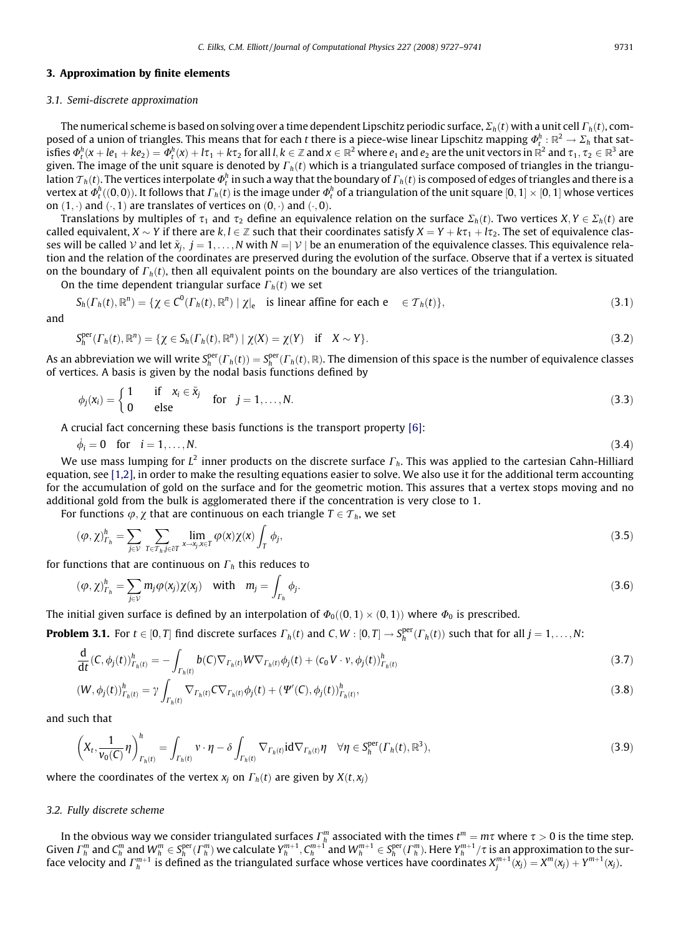# <span id="page-4-0"></span>3. Approximation by finite elements

#### 3.1. Semi-discrete approximation

The numerical scheme is based on solving over a time dependent Lipschitz periodic surface,  $\Sigma_h(t)$  with a unit cell  $\Gamma_h(t)$ , composed of a union of triangles. This means that for each  $t$  there is a piece-wise linear Lipschitz mapping  $\varPhi^h_t:\R^2\to\Sigma_h$  that satisfies  $\varPhi_t^h(x+le_1+ke_2)=\varPhi_t^h(x)+l\tau_1+k\tau_2$  for all  $l,k\in\mathbb{Z}$  and  $x\in\mathbb{R}^2$  where  $e_1$  and  $e_2$  are the unit vectors in  $\mathbb{R}^2$  and  $\tau_1,\tau_2\in\mathbb{R}^3$  are given. The image of the unit square is denoted by  $\Gamma_h(t)$  which is a triangulated surface composed of triangles in the triangulation  ${\cal T}_h(t)$ . The vertices interpolate  $\varPhi^h_t$  in such a way that the boundary of  $\varGamma_h(t)$  is composed of edges of triangles and there is a vertex at  $\varPhi_t^h((0,0)).$  It follows that  $\varGamma_h(t)$  is the image under  $\varPhi_t^h$  of a triangulation of the unit square  $[0,1]\times[0,1]$  whose vertices on  $(1, \cdot)$  and  $(0, 1)$  are translates of vertices on  $(0, \cdot)$  and  $(0, 0)$ .

Translations by multiples of  $\tau_1$  and  $\tau_2$  define an equivalence relation on the surface  $\Sigma_h(t)$ . Two vertices  $X, Y \in \Sigma_h(t)$  are called equivalent,  $X \sim Y$  if there are  $k, l \in \mathbb{Z}$  such that their coordinates satisfy  $X = Y + k\tau_1 + l\tau_2$ . The set of equivalence classes will be called  $V$  and let  $\tilde{x}_i$ ,  $j = 1, \ldots, N$  with  $N = |V|$  be an enumeration of the equivalence classes. This equivalence relation and the relation of the coordinates are preserved during the evolution of the surface. Observe that if a vertex is situated on the boundary of  $\Gamma_h(t)$ , then all equivalent points on the boundary are also vertices of the triangulation.

On the time dependent triangular surface  $\Gamma_h(t)$  we set

$$
S_h(\Gamma_h(t), \mathbb{R}^n) = \{ \chi \in C^0(\Gamma_h(t), \mathbb{R}^n) \mid \chi|_e \text{ is linear affine for each } e \in \mathcal{T}_h(t) \},\tag{3.1}
$$

and

$$
S_h^{\text{per}}(\Gamma_h(t), \mathbb{R}^n) = \{ \chi \in S_h(\Gamma_h(t), \mathbb{R}^n) \mid \chi(X) = \chi(Y) \quad \text{if} \quad X \sim Y \}. \tag{3.2}
$$

As an abbreviation we will write  $S_h^{\rm per}(\varGamma_h(t))=S_h^{\rm per}(\varGamma_h(t),\R).$  The dimension of this space is the number of equivalence classes of vertices. A basis is given by the nodal basis functions defined by

$$
\phi_j(x_i) = \begin{cases} 1 & \text{if } x_i \in \tilde{x}_j \\ 0 & \text{else} \end{cases} \quad \text{for } j = 1, \dots, N. \tag{3.3}
$$

A crucial fact concerning these basis functions is the transport property [\[6\]](#page-14-0):

$$
\dot{\phi}_i = 0 \quad \text{for} \quad i = 1, \dots, N. \tag{3.4}
$$

We use mass lumping for  $L^2$  inner products on the discrete surface  $\Gamma_h$ . This was applied to the cartesian Cahn-Hilliard equation, see [\[1,2\],](#page-14-0) in order to make the resulting equations easier to solve. We also use it for the additional term accounting for the accumulation of gold on the surface and for the geometric motion. This assures that a vertex stops moving and no additional gold from the bulk is agglomerated there if the concentration is very close to 1.

For functions  $\varphi$ ,  $\chi$  that are continuous on each triangle  $T \in \mathcal{T}_h$ , we set

$$
(\varphi, \chi)_{\Gamma_h}^h = \sum_{j \in \mathcal{V}} \sum_{T \in \mathcal{T}_h, j \in \partial T} \lim_{x \to x_j, x \in T} \varphi(x) \chi(x) \int_T \phi_j,
$$
\n(3.5)

for functions that are continuous on  $\Gamma_h$  this reduces to

$$
(\varphi, \chi)_{\Gamma_h}^h = \sum_{j \in \mathcal{V}} m_j \varphi(x_j) \chi(x_j) \quad \text{with} \quad m_j = \int_{\Gamma_h} \phi_j. \tag{3.6}
$$

The initial given surface is defined by an interpolation of  $\Phi_0((0,1)\times(0,1))$  where  $\Phi_0$  is prescribed.

**Problem 3.1.** For  $t \in [0,T]$  find discrete surfaces  $\Gamma_h(t)$  and  $C, W : [0,T] \to S_h^{\text{per}}(\Gamma_h(t))$  such that for all  $j = 1,\ldots,N$ :

$$
\frac{d}{dt}(C, \phi_j(t))^h_{\Gamma_h(t)} = -\int_{\Gamma_h(t)} b(C) \nabla_{\Gamma_h(t)} W \nabla_{\Gamma_h(t)} \phi_j(t) + (c_0 V \cdot v, \phi_j(t))^h_{\Gamma_h(t)} \tag{3.7}
$$

$$
(W, \phi_j(t))_{\Gamma_h(t)}^h = \gamma \int_{\Gamma_h(t)} \nabla_{\Gamma_h(t)} C \nabla_{\Gamma_h(t)} \phi_j(t) + (\Psi'(C), \phi_j(t))_{\Gamma_h(t)}^h,
$$
\n(3.8)

and such that

$$
\left(X_t, \frac{1}{v_0(C)}\eta\right)_{\Gamma_h(t)}^h = \int_{\Gamma_h(t)} v \cdot \eta - \delta \int_{\Gamma_h(t)} \nabla_{\Gamma_h(t)} \mathrm{id} \nabla_{\Gamma_h(t)} \eta \quad \forall \eta \in S_h^{\text{per}}(\Gamma_h(t), \mathbb{R}^3),\tag{3.9}
$$

where the coordinates of the vertex  $x_i$  on  $\Gamma_h(t)$  are given by  $X(t, x_i)$ 

#### 3.2. Fully discrete scheme

In the obvious way we consider triangulated surfaces  $\varGamma_h^m$  associated with the times  $t^m=m\tau$  where  $\tau>0$  is the time step. Given  $\Gamma_h^m$  and  $C_h^m$  and  $W_h^m\in S_h^{\rm per}(\Gamma_h^m)$  we calculate  $Y_h^{m+1},C_h^{m+1}$  and  $W_h^{m+1}\in S_h^{\rm per}(\Gamma_h^m).$  Here  $Y_h^{m+1}/\tau$  is an approximation to the surface velocity and  $\varGamma_h^{m+1}$  is defined as the triangulated surface whose vertices have coordinates  $X_j^{m+1}(x_j)=X^m(x_j)+Y^{m+1}(x_j).$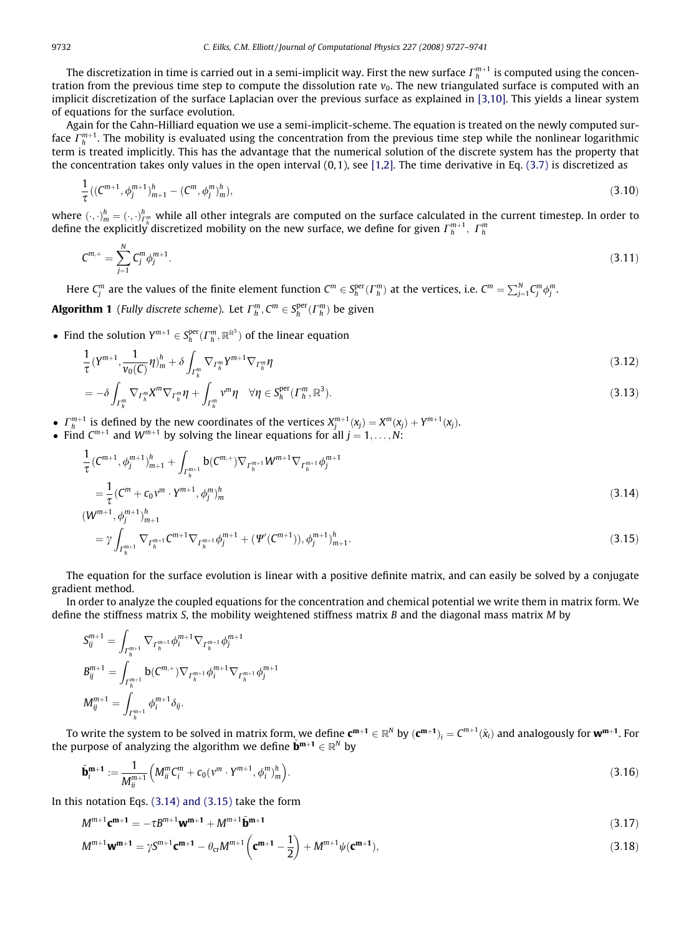<span id="page-5-0"></span>The discretization in time is carried out in a semi-implicit way. First the new surface  $\varGamma_h^{m+1}$  is computed using the concentration from the previous time step to compute the dissolution rate  $v_0$ . The new triangulated surface is computed with an implicit discretization of the surface Laplacian over the previous surface as explained in [\[3,10\]](#page-14-0). This yields a linear system of equations for the surface evolution.

Again for the Cahn-Hilliard equation we use a semi-implicit-scheme. The equation is treated on the newly computed surface  $\varGamma_h^{m+1}$ . The mobility is evaluated using the concentration from the previous time step while the nonlinear logarithmic term is treated implicitly. This has the advantage that the numerical solution of the discrete system has the property that the concentration takes only values in the open interval  $(0, 1)$ , see [\[1,2\]](#page-14-0). The time derivative in Eq.  $(3.7)$  is discretized as

$$
\frac{1}{\tau}((C^{m+1}, \phi_j^{m+1})_{m+1}^h - (C^m, \phi_j^m)_m^h),\tag{3.10}
$$

where  $(\cdot, \cdot)_m^h = (\cdot, \cdot)_m^h$  while all other integrals are computed on the surface calculated in the current timestep. In order to define the explicitly discretized mobility on the new surface, we define for given  $\varGamma_h^{m+1},~\varGamma_h^m$ 

$$
C^{m,+} = \sum_{j=1}^{N} C_j^m \phi_j^{m+1}.
$$
\n(3.11)

Here  $C_j^m$  are the values of the finite element function  $C^m\in S_h^{\rm per}(\Gamma_h^m)$  at the vertices, i.e.  $C^m=\sum_{j=1}^N C_j^m \phi_j^m.$ 

**Algorithm 1** (Fully discrete scheme). Let  $\Gamma_h^m$ ,  $C^m \in S_h^{\text{per}}(\Gamma_h^m)$  be given

• Find the solution  $Y^{m+1} \in S_h^{\text{per}}(\Gamma_h^m, \mathbb{R}^{\mathbb{R}^3})$  of the linear equation

$$
\frac{1}{\tau}(Y^{m+1}, \frac{1}{\nu_0(C)}\eta)^h_m + \delta \int_{\Gamma_h^m} \nabla_{\Gamma_h^m} Y^{m+1} \nabla_{\Gamma_h^m} \eta \tag{3.12}
$$

$$
= -\delta \int_{\Gamma_h^m} \nabla_{\Gamma_h^m} X^m \nabla_{\Gamma_h^m} \eta + \int_{\Gamma_h^m} v^m \eta \quad \forall \eta \in S_h^{\text{per}}(\Gamma_h^m, \mathbb{R}^3). \tag{3.13}
$$

- $\Gamma_h^{m+1}$  is defined by the new coordinates of the vertices  $X_j^{m+1}(x_j) = X^m(x_j) + Y^{m+1}(x_j)$ .
- Find  $C^{m+1}$  and  $W^{m+1}$  by solving the linear equations for all  $j = 1, \ldots, N$ :

$$
\frac{1}{\tau} (C^{m+1}, \phi_j^{m+1})_{m+1}^h + \int_{\Gamma_h^{m+1}} \mathbf{b} (C^{m,+}) \nabla_{\Gamma_h^{m+1}} W^{m+1} \nabla_{\Gamma_h^{m+1}} \phi_j^{m+1}
$$
\n
$$
= \frac{1}{\tau} (C^m + c_0 v^m \cdot Y^{m+1}, \phi_j^m)_m^h
$$
\n
$$
(3.14)
$$
\n
$$
(W^{m+1}, \phi_j^{m+1})_{m+1}^h
$$

$$
= \gamma \int_{\Gamma_h^{m+1}} \nabla_{\Gamma_h^{m+1}} C^{m+1} \nabla_{\Gamma_h^{m+1}} \phi_j^{m+1} + (\Psi'(C^{m+1})), \phi_j^{m+1})_{m+1}^h.
$$
\n(3.15)

The equation for the surface evolution is linear with a positive definite matrix, and can easily be solved by a conjugate gradient method.

In order to analyze the coupled equations for the concentration and chemical potential we write them in matrix form. We define the stiffness matrix S, the mobility weightened stiffness matrix B and the diagonal mass matrix M by

$$
S_{ij}^{m+1} = \int_{\Gamma_h^{m+1}} \nabla_{\Gamma_h^{m+1}} \phi_i^{m+1} \nabla_{\Gamma_h^{m+1}} \phi_j^{m+1}
$$
  
\n
$$
B_{ij}^{m+1} = \int_{\Gamma_h^{m+1}} \mathbf{b}(C^{m,+}) \nabla_{\Gamma_h^{m+1}} \phi_i^{m+1} \nabla_{\Gamma_h^{m+1}} \phi_j^{m+1}
$$
  
\n
$$
M_{ij}^{m+1} = \int_{\Gamma_h^{m+1}} \phi_i^{m+1} \delta_{ij}.
$$

To write the system to be solved in matrix form, we define  ${\bf c}^{m+1}\in \R^N$  by  ${({\bf c}^{m+1})}_i=C^{m+1}(\tilde x_i)$  and analogously for  ${\bf w}^{m+1}.$  For the purpose of analyzing the algorithm we define  $\tilde{\mathbf{b}}^{\mathbf{m}+\mathbf{1}} \in \mathbb{R}^{N}$  by

$$
\tilde{\mathbf{b}}_i^{\mathbf{m}+1} := \frac{1}{M_{ii}^{m+1}} \left( M_{ii}^m C_i^m + c_0 (v^m \cdot Y^{m+1}, \phi_i^m)_m^h \right).
$$
\n(3.16)

In this notation Eqs.  $(3.14)$  and  $(3.15)$  take the form

$$
M^{m+1} \mathbf{c}^{m+1} = -\tau B^{m+1} \mathbf{w}^{m+1} + M^{m+1} \tilde{\mathbf{b}}^{m+1}
$$
\n(3.17)

$$
M^{m+1}\mathbf{w^{m+1}} = \gamma S^{m+1}\mathbf{c^{m+1}} - \theta_{cr} M^{m+1} \left( \mathbf{c^{m+1}} - \frac{1}{2} \right) + M^{m+1} \psi(\mathbf{c^{m+1}}),
$$
\n(3.18)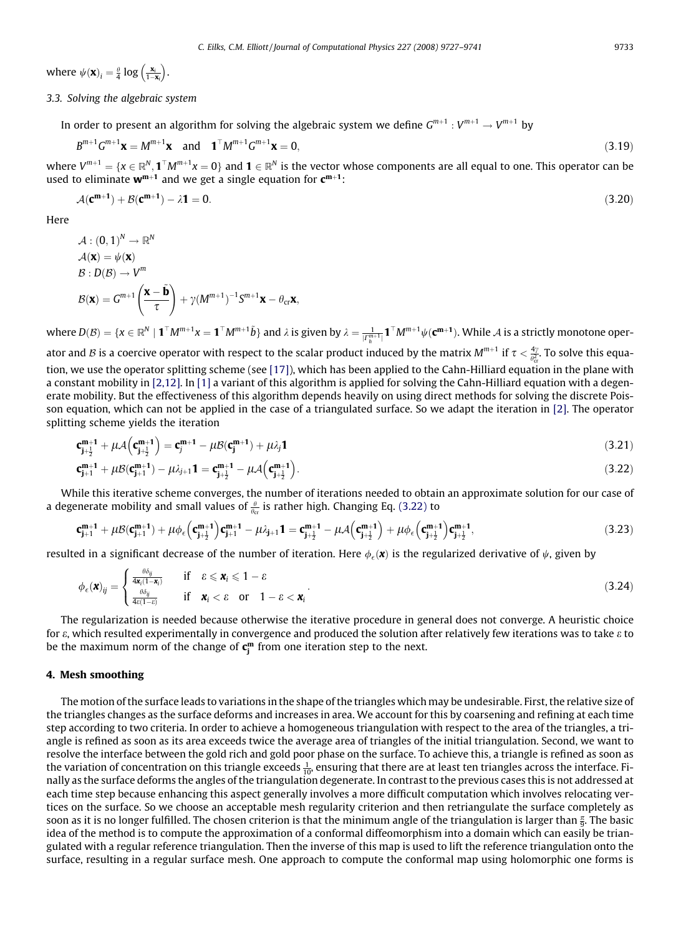<span id="page-6-0"></span>where  $\psi(\mathbf{x})_i = \frac{\theta}{4} \log \left( \frac{\mathbf{x}_i}{1-\mathbf{x}_i} \right)$  $\left(\frac{\mathbf{x}_i}{1-\mathbf{x}_i}\right)$ .

# 3.3. Solving the algebraic system

In order to present an algorithm for solving the algebraic system we define  $G^{m+1} : V^{m+1} \to V^{m+1}$  by

$$
B^{m+1}G^{m+1}\mathbf{x} = M^{m+1}\mathbf{x} \quad \text{and} \quad \mathbf{1}^{\top}M^{m+1}G^{m+1}\mathbf{x} = 0,
$$
\n(3.19)

where  $V^{m+1}=\{x\in \R^N,\mathbf{1}^\top M^{m+1}x=0\}$  and  $\mathbf{1}\in \R^N$  is the vector whose components are all equal to one. This operator can be used to eliminate  $w^{m+1}$  and we get a single equation for  $c^{m+1}$ :

$$
\mathcal{A}(\mathbf{C}^{\mathbf{m}+1}) + \mathcal{B}(\mathbf{C}^{\mathbf{m}+1}) - \lambda \mathbf{1} = 0. \tag{3.20}
$$

Here

$$
A: (0,1)^{N} \to \mathbb{R}^{N}
$$
  
\n
$$
A(\mathbf{x}) = \psi(\mathbf{x})
$$
  
\n
$$
B: D(B) \to V^{m}
$$
  
\n
$$
B(\mathbf{x}) = G^{m+1} \left( \frac{\mathbf{x} - \tilde{\mathbf{b}}}{\tau} \right) + \gamma (M^{m+1})^{-1} S^{m+1} \mathbf{x} - \theta_{\text{cr}} \mathbf{x},
$$

where  $D(\mathcal{B})=\{x\in\mathbb{R}^N\mid\mathbf{1}^\top M^{m+1}x=\mathbf{1}^\top M^{m+1}\tilde{b}\}$  and  $\lambda$  is given by  $\lambda=\frac{1}{|I_R^{m+1}|}\mathbf{1}^\top M^{m+1}\psi(\mathbf{c^{m+1}}).$  While  $\mathcal{A}$  is a strictly monotone operator and B is a coercive operator with respect to the scalar product induced by the matrix  $M^{m+1}$  if  $\tau<\frac{4\gamma}{\varrho_{cr}^2}$ . To solve this equa-tion, we use the operator splitting scheme (see [\[17\]](#page-14-0)), which has been applied to the Cahn-Hilliard equation in the plane with a constant mobility in [\[2,12\]](#page-14-0). In [\[1\]](#page-14-0) a variant of this algorithm is applied for solving the Cahn-Hilliard equation with a degenerate mobility. But the effectiveness of this algorithm depends heavily on using direct methods for solving the discrete Poisson equation, which can not be applied in the case of a triangulated surface. So we adapt the iteration in [\[2\].](#page-14-0) The operator splitting scheme yields the iteration

$$
\mathbf{c}_{\mathbf{j}+\frac{1}{2}}^{m+1} + \mu \mathcal{A} \Big( \mathbf{c}_{\mathbf{j}+\frac{1}{2}}^{m+1} \Big) = \mathbf{c}_{\mathbf{j}}^{m+1} - \mu \mathcal{B} (\mathbf{c}_{\mathbf{j}}^{m+1}) + \mu \lambda_{\mathbf{j}} \mathbf{1}
$$
\n(3.21)

$$
\mathbf{c}_{\mathbf{j}+1}^{m+1} + \mu \mathcal{B}(\mathbf{c}_{\mathbf{j}+1}^{m+1}) - \mu \lambda_{j+1} \mathbf{1} = \mathbf{c}_{\mathbf{j}+\frac{1}{2}}^{m+1} - \mu \mathcal{A}(\mathbf{c}_{\mathbf{j}+\frac{1}{2}}^{m+1}).
$$
\n(3.22)

While this iterative scheme converges, the number of iterations needed to obtain an approximate solution for our case of a degenerate mobility and small values of  $\frac{\theta}{\theta_{\rm cr}}$  is rather high. Changing Eq. (3.22) to

$$
\mathbf{c}_{\mathbf{j}+1}^{m+1} + \mu \mathcal{B}(\mathbf{c}_{\mathbf{j}+1}^{m+1}) + \mu \phi_{\epsilon} \Big(\mathbf{c}_{\mathbf{j}+\frac{1}{2}}^{m+1}\Big) \mathbf{c}_{\mathbf{j}+1}^{m+1} - \mu \lambda_{\mathbf{j}+1} \mathbf{1} = \mathbf{c}_{\mathbf{j}+\frac{1}{2}}^{m+1} - \mu \mathcal{A} \Big(\mathbf{c}_{\mathbf{j}+\frac{1}{2}}^{m+1}\Big) + \mu \phi_{\epsilon} \Big(\mathbf{c}_{\mathbf{j}+\frac{1}{2}}^{m+1}\Big) \mathbf{c}_{\mathbf{j}+\frac{1}{2}}^{m+1},\tag{3.23}
$$

resulted in a significant decrease of the number of iteration. Here  $\phi_\epsilon(\pmb{x})$  is the regularized derivative of  $\psi$ , given by

$$
\phi_{\epsilon}(\mathbf{x})_{ij} = \begin{cases} \frac{\theta \delta_{ij}}{4\mathbf{x}_i (1 - \mathbf{x}_i)} & \text{if } \epsilon \leq \mathbf{x}_i \leq 1 - \epsilon \\ \frac{\theta \delta_{ij}}{4\epsilon (1 - \epsilon)} & \text{if } \mathbf{x}_i < \epsilon \quad \text{or} \quad 1 - \epsilon < \mathbf{x}_i \end{cases} \tag{3.24}
$$

The regularization is needed because otherwise the iterative procedure in general does not converge. A heuristic choice for  $\varepsilon$ , which resulted experimentally in convergence and produced the solution after relatively few iterations was to take  $\varepsilon$  to be the maximum norm of the change of  $\mathsf{c}_\mathsf{j}^{\mathsf{m}}$  from one iteration step to the next.

#### 4. Mesh smoothing

The motion of the surface leads to variations in the shape of the triangles which may be undesirable. First, the relative size of the triangles changes as the surface deforms and increases in area. We account for this by coarsening and refining at each time step according to two criteria. In order to achieve a homogeneous triangulation with respect to the area of the triangles, a triangle is refined as soon as its area exceeds twice the average area of triangles of the initial triangulation. Second, we want to resolve the interface between the gold rich and gold poor phase on the surface. To achieve this, a triangle is refined as soon as the variation of concentration on this triangle exceeds  $\frac{1}{10}$ , ensuring that there are at least ten triangles across the interface. Finally as the surface deforms the angles of the triangulation degenerate. In contrast to the previous cases this is not addressed at each time step because enhancing this aspect generally involves a more difficult computation which involves relocating vertices on the surface. So we choose an acceptable mesh regularity criterion and then retriangulate the surface completely as soon as it is no longer fulfilled. The chosen criterion is that the minimum angle of the triangulation is larger than  $\frac{\pi}{9}$ . The basic idea of the method is to compute the approximation of a conformal diffeomorphism into a domain which can easily be triangulated with a regular reference triangulation. Then the inverse of this map is used to lift the reference triangulation onto the surface, resulting in a regular surface mesh. One approach to compute the conformal map using holomorphic one forms is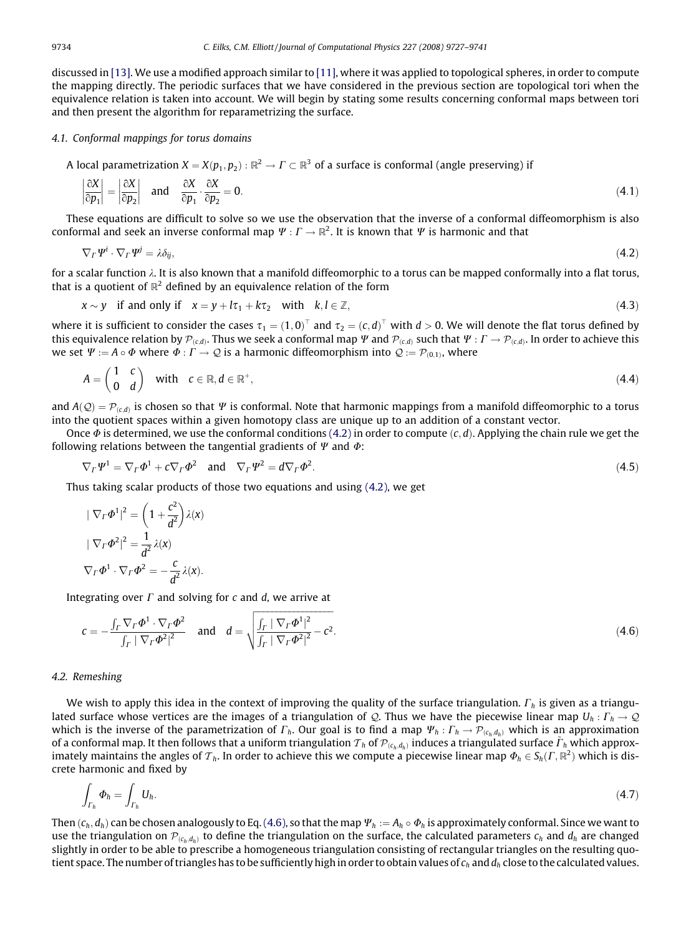discussed in [\[13\].](#page-14-0) We use a modified approach similar to [\[11\],](#page-14-0) where it was applied to topological spheres, in order to compute the mapping directly. The periodic surfaces that we have considered in the previous section are topological tori when the equivalence relation is taken into account. We will begin by stating some results concerning conformal maps between tori and then present the algorithm for reparametrizing the surface.

# 4.1. Conformal mappings for torus domains

A local parametrization  $X = X(p_1, p_2)$ :  $\mathbb{R}^2 \to \Gamma \subset \mathbb{R}^3$  of a surface is conformal (angle preserving) if

$$
\left|\frac{\partial X}{\partial p_1}\right| = \left|\frac{\partial X}{\partial p_2}\right| \quad \text{and} \quad \frac{\partial X}{\partial p_1} \cdot \frac{\partial X}{\partial p_2} = 0. \tag{4.1}
$$

These equations are difficult to solve so we use the observation that the inverse of a conformal diffeomorphism is also conformal and seek an inverse conformal map  $\Psi: \Gamma \to \mathbb{R}^2$ . It is known that  $\Psi$  is harmonic and that

$$
\nabla_{\Gamma} \Psi^{i} \cdot \nabla_{\Gamma} \Psi^{j} = \lambda \delta_{ij},\tag{4.2}
$$

for a scalar function  $\lambda$ . It is also known that a manifold diffeomorphic to a torus can be mapped conformally into a flat torus, that is a quotient of  $\mathbb{R}^2$  defined by an equivalence relation of the form

$$
x \sim y \quad \text{if and only if} \quad x = y + l\tau_1 + k\tau_2 \quad \text{with} \quad k, l \in \mathbb{Z}, \tag{4.3}
$$

where it is sufficient to consider the cases  $\tau_1=(1,0)^\top$  and  $\tau_2=(c,d)^\top$  with  $d>0$ . We will denote the flat torus defined by this equivalence relation by  $\mathcal{P}_{(c,d)}$ . Thus we seek a conformal map  $\Psi$  and  $\mathcal{P}_{(c,d)}$  such that  $\Psi : \Gamma \to \mathcal{P}_{(c,d)}$ . In order to achieve this we set  $\Psi := A \circ \Phi$  where  $\Phi : \Gamma \to \mathcal{Q}$  is a harmonic diffeomorphism into  $\mathcal{Q} := \mathcal{P}_{(0,1)}$ , where

$$
A = \begin{pmatrix} 1 & c \\ 0 & d \end{pmatrix} \quad \text{with} \quad c \in \mathbb{R}, d \in \mathbb{R}^+, \tag{4.4}
$$

and  $A(Q) = \mathcal{P}_{(c,d)}$  is chosen so that  $\Psi$  is conformal. Note that harmonic mappings from a manifold diffeomorphic to a torus into the quotient spaces within a given homotopy class are unique up to an addition of a constant vector.

Once  $\Phi$  is determined, we use the conformal conditions (4.2) in order to compute (c, d). Applying the chain rule we get the following relations between the tangential gradients of  $\Psi$  and  $\Phi$ :

$$
\nabla_{\Gamma} \Psi^1 = \nabla_{\Gamma} \Phi^1 + c \nabla_{\Gamma} \Phi^2 \quad \text{and} \quad \nabla_{\Gamma} \Psi^2 = d \nabla_{\Gamma} \Phi^2. \tag{4.5}
$$

Thus taking scalar products of those two equations and using (4.2), we get

$$
|\nabla_{\Gamma}\Phi^1|^2 = \left(1 + \frac{c^2}{d^2}\right)\lambda(x)
$$

$$
|\nabla_{\Gamma}\Phi^2|^2 = \frac{1}{d^2}\lambda(x)
$$

$$
\nabla_{\Gamma}\Phi^1 \cdot \nabla_{\Gamma}\Phi^2 = -\frac{c}{d^2}\lambda(x).
$$

Integrating over  $\Gamma$  and solving for  $c$  and  $d$ , we arrive at

$$
c = -\frac{\int_{\Gamma} \nabla_{\Gamma} \Phi^1 \cdot \nabla_{\Gamma} \Phi^2}{\int_{\Gamma} |\nabla_{\Gamma} \Phi^2|^2} \quad \text{and} \quad d = \sqrt{\frac{\int_{\Gamma} |\nabla_{\Gamma} \Phi^1|^2}{\int_{\Gamma} |\nabla_{\Gamma} \Phi^2|^2} - c^2}.
$$
\n(4.6)

# 4.2. Remeshing

We wish to apply this idea in the context of improving the quality of the surface triangulation.  $\Gamma_h$  is given as a triangulated surface whose vertices are the images of a triangulation of Q. Thus we have the piecewise linear map  $U_h$ :  $\Gamma_h \to Q$ which is the inverse of the parametrization of  $\Gamma_h$ . Our goal is to find a map  $\Psi_h:\Gamma_h\to\mathcal{P}_{(c_h,d_h)}$  which is an approximation of a conformal map. It then follows that a uniform triangulation  $T_h$  of  $\mathcal{P}_{(c_h,d_h)}$  induces a triangulated surface  $\tilde{\Gamma}_h$  which approximately maintains the angles of  $\mathcal{T}_h$ . In order to achieve this we compute a piecewise linear map  $\Phi_h \in S_h(\Gamma,\mathbb{R}^2)$  which is discrete harmonic and fixed by

$$
\int_{\Gamma_h} \Phi_h = \int_{\Gamma_h} U_h. \tag{4.7}
$$

Then  $(c_h, d_h)$  can be chosen analogously to Eq. (4.6), so that the map  $\Psi_h := A_h \circ \Phi_h$  is approximately conformal. Since we want to use the triangulation on  $\mathcal{P}_{(c_n,d_n)}$  to define the triangulation on the surface, the calculated parameters  $c_n$  and  $d_n$  are changed slightly in order to be able to prescribe a homogeneous triangulation consisting of rectangular triangles on the resulting quotient space. The number of triangles has to be sufficiently high in order to obtain values of  $c_h$  and  $d_h$  close to the calculated values.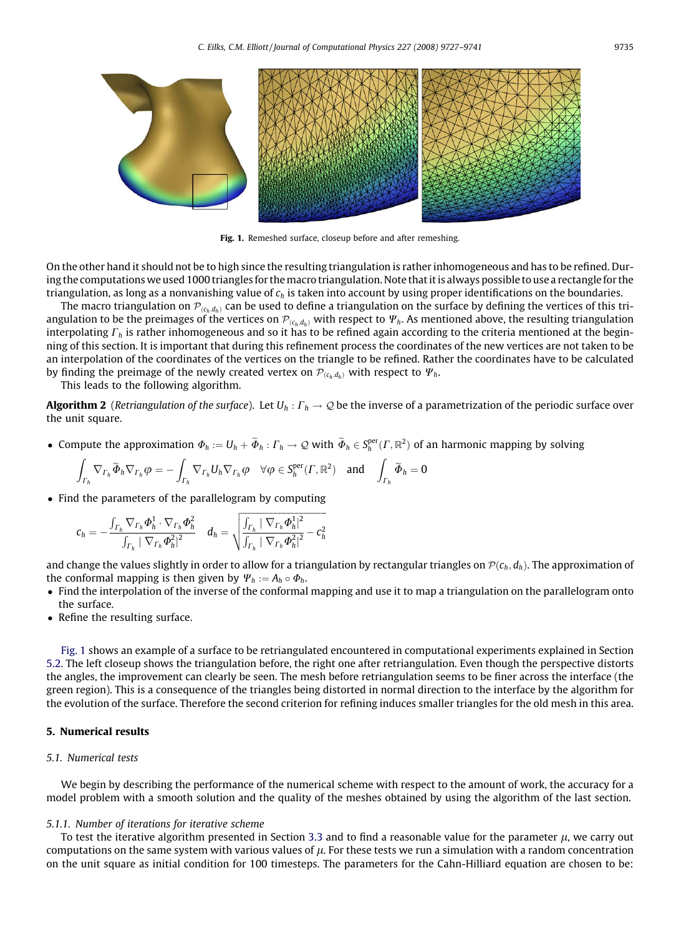<span id="page-8-0"></span>

Fig. 1. Remeshed surface, closeup before and after remeshing.

On the other hand it should not be to high since the resulting triangulation is rather inhomogeneous and has to be refined. During the computations we used 1000 triangles for themacro triangulation. Note that it is always possible to use a rectangle for the triangulation, as long as a nonvanishing value of  $c_h$  is taken into account by using proper identifications on the boundaries.

The macro triangulation on  $\mathcal{P}_{(c_h,d_h)}$  can be used to define a triangulation on the surface by defining the vertices of this triangulation to be the preimages of the vertices on  $\mathcal{P}_{(c_h,d_h)}$  with respect to  $\Psi_h$ . As mentioned above, the resulting triangulation interpolating  $\Gamma_h$  is rather inhomogeneous and so it has to be refined again according to the criteria mentioned at the beginning of this section. It is important that during this refinement process the coordinates of the new vertices are not taken to be an interpolation of the coordinates of the vertices on the triangle to be refined. Rather the coordinates have to be calculated by finding the preimage of the newly created vertex on  $\mathcal{P}_{(c_h,d_h)}$  with respect to  $\Psi_h$ .

This leads to the following algorithm.

**Algorithm 2** (Retriangulation of the surface). Let  $U_h : \Gamma_h \to \mathcal{Q}$  be the inverse of a parametrization of the periodic surface over the unit square.

• Compute the approximation  $\Phi_h:=U_h+\widetilde{\Phi}_h:\varGamma_h\to\mathcal{Q}$  with  $\widetilde{\Phi}_h\in S_h^{\mathrm{per}}(\varGamma,\mathbb{R}^2)$  of an harmonic mapping by solving

$$
\int_{\Gamma_h} \nabla_{\Gamma_h} \widetilde{\varPhi}_h \nabla_{\Gamma_h} \varphi = - \int_{\Gamma_h} \nabla_{\Gamma_h} U_h \nabla_{\Gamma_h} \varphi \quad \forall \varphi \in S_h^{\mathrm{per}}(\Gamma,\mathbb{R}^2) \quad \text{and} \quad \int_{\Gamma_h} \widetilde{\varPhi}_h = 0
$$

• Find the parameters of the parallelogram by computing

$$
c_h = -\frac{\int_{\Gamma_h} \nabla_{\Gamma_h} \boldsymbol{\Phi}_h^1 \cdot \nabla_{\Gamma_h} \boldsymbol{\Phi}_h^2}{\int_{\Gamma_h} |\nabla_{\Gamma_h} \boldsymbol{\Phi}_h^2|^2} \quad d_h = \sqrt{\frac{\int_{\Gamma_h} |\nabla_{\Gamma_h} \boldsymbol{\Phi}_h^1|^2}{\int_{\Gamma_h} |\nabla_{\Gamma_h} \boldsymbol{\Phi}_h^2|^2} - c_h^2}
$$

and change the values slightly in order to allow for a triangulation by rectangular triangles on  $\mathcal{P}(c_h, d_h)$ . The approximation of the conformal mapping is then given by  $\Psi_h := A_h \circ \Phi_h$ .

- Find the interpolation of the inverse of the conformal mapping and use it to map a triangulation on the parallelogram onto the surface.
- Refine the resulting surface.

Fig. 1 shows an example of a surface to be retriangulated encountered in computational experiments explained in Section 5.2. The left closeup shows the triangulation before, the right one after retriangulation. Even though the perspective distorts the angles, the improvement can clearly be seen. The mesh before retriangulation seems to be finer across the interface (the green region). This is a consequence of the triangles being distorted in normal direction to the interface by the algorithm for the evolution of the surface. Therefore the second criterion for refining induces smaller triangles for the old mesh in this area.

# 5. Numerical results

# 5.1. Numerical tests

We begin by describing the performance of the numerical scheme with respect to the amount of work, the accuracy for a model problem with a smooth solution and the quality of the meshes obtained by using the algorithm of the last section.

# 5.1.1. Number of iterations for iterative scheme

To test the iterative algorithm presented in Section 3.3 and to find a reasonable value for the parameter  $\mu$ , we carry out computations on the same system with various values of  $\mu$ . For these tests we run a simulation with a random concentration on the unit square as initial condition for 100 timesteps. The parameters for the Cahn-Hilliard equation are chosen to be: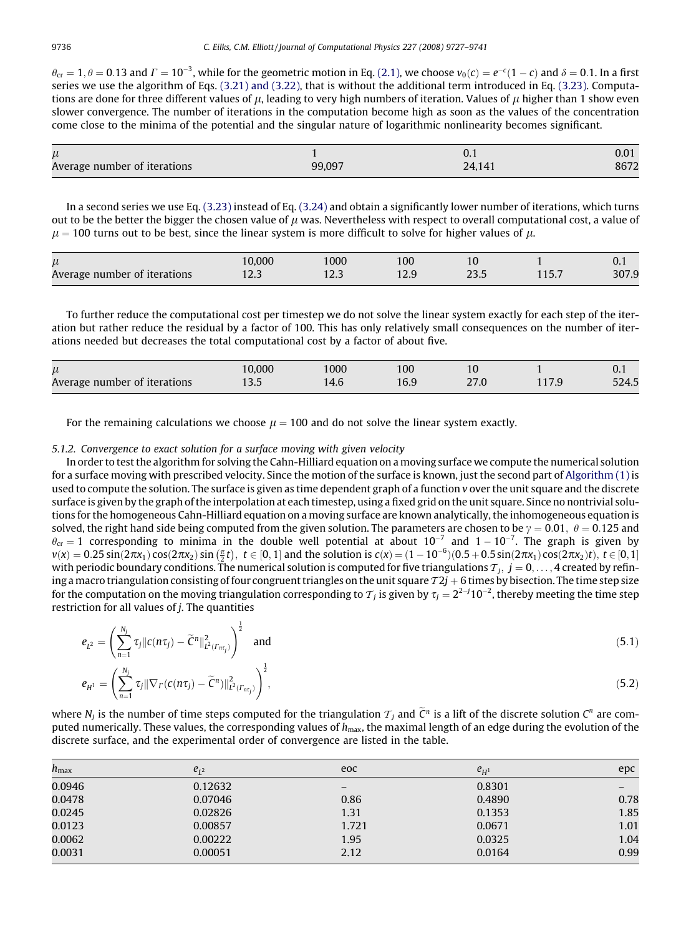$\theta_{\rm cr} = 1, \theta = 0.13$  and  $\Gamma = 10^{-3}$ , while for the geometric motion in Eq. [\(2.1\)](#page-2-0), we choose  $v_0(c) = e^{-c}(1-c)$  and  $\delta = 0.1$ . In a first series we use the algorithm of Eqs. [\(3.21\) and \(3.22\)](#page-6-0), that is without the additional term introduced in Eq. [\(3.23\).](#page-6-0) Computations are done for three different values of  $\mu$ , leading to very high numbers of iteration. Values of  $\mu$  higher than 1 show even slower convergence. The number of iterations in the computation become high as soon as the values of the concentration come close to the minima of the potential and the singular nature of logarithmic nonlinearity becomes significant.

| $\mu$                        |        | υ. ι   |      |
|------------------------------|--------|--------|------|
| Average number of iterations | 99.097 | 24.141 | 8672 |

In a second series we use Eq. [\(3.23\)](#page-6-0) instead of Eq. (3.24) and obtain a significantly lower number of iterations, which turns out to be the better the bigger the chosen value of  $\mu$  was. Nevertheless with respect to overall computational cost, a value of  $\mu = 100$  turns out to be best, since the linear system is more difficult to solve for higher values of  $\mu$ .

|                              | 0.000 | 1000 | 100  | 1 C            |   | υ.ι   |
|------------------------------|-------|------|------|----------------|---|-------|
| Average number of iterations | د.ے ا | ت    | ت کا | $\sim$<br>25.J | . | 307.9 |

To further reduce the computational cost per timestep we do not solve the linear system exactly for each step of the iteration but rather reduce the residual by a factor of 100. This has only relatively small consequences on the number of iterations needed but decreases the total computational cost by a factor of about five.

| $\mu$<br>Average number of iterations | 10.000<br>1 J.J | 1000<br>14.O | 100<br>16.9 | 1 Q<br>ח דר<br>47.U | . | $\mathbf{U}$ . I<br>524.5 |
|---------------------------------------|-----------------|--------------|-------------|---------------------|---|---------------------------|
|---------------------------------------|-----------------|--------------|-------------|---------------------|---|---------------------------|

For the remaining calculations we choose  $\mu = 100$  and do not solve the linear system exactly.

# 5.1.2. Convergence to exact solution for a surface moving with given velocity

In order to test the algorithm for solving the Cahn-Hilliard equation on a moving surface we compute the numerical solution for a surface moving with prescribed velocity. Since the motion of the surface is known, just the second part of [Algorithm \(1\)](#page-5-0) is used to compute the solution. The surface is given as time dependent graph of a function v over the unit square and the discrete surface is given by the graph of the interpolation at each timestep, using a fixed grid on the unit square. Since no nontrivial solutions for the homogeneous Cahn-Hilliard equation on a moving surface are known analytically, the inhomogeneous equation is solved, the right hand side being computed from the given solution. The parameters are chosen to be  $\gamma = 0.01$ ,  $\theta = 0.125$  and  $\theta_{\rm cr} = 1$  corresponding to minima in the double well potential at about  $10^{-7}$  and  $1-10^{-7}$ . The graph is given by  $v(x) = 0.25 \sin(2\pi x_1) \cos(2\pi x_2) \sin(\frac{\pi}{2}t), t \in [0, 1]$  and the solution is  $c(x) = (1 - 10^{-6})(0.5 + 0.5 \sin(2\pi x_1) \cos(2\pi x_2)t), t \in [0, 1]$ with periodic boundary conditions. The numerical solution is computed for five triangulations  $\tau_j,~j=0,\ldots,4$  created by refining a macro triangulation consisting of four congruent triangles on the unit square  $T2j+6$  times by bisection. The time step size for the computation on the moving triangulation corresponding to  ${\cal T}_j$  is given by  $\tau_j=2^{2-j}10^{-2},$  thereby meeting the time step restriction for all values of  $j$ . The quantities

$$
e_{L^2} = \left(\sum_{n=1}^{N_j} \tau_j \|c(n\tau_j) - \widetilde{C}^n\|_{L^2(\Gamma_{n\tau_j})}^2\right)^{\frac{1}{2}} \text{ and } (5.1)
$$

$$
e_{H^{1}} = \left(\sum_{n=1}^{N_{j}} \tau_{j} \|\nabla_{\Gamma}(c(n\tau_{j}) - \widetilde{C}^{n})\|_{L^{2}(\Gamma_{n\tau_{j}})}^{2}\right)^{\frac{1}{2}},
$$
\n(5.2)

where  $N_j$  is the number of time steps computed for the triangulation  $\tau_j$  and  $\tilde{C}^n$  is a lift of the discrete solution  $C^n$  are computed numerically. These values, the corresponding values of  $h_{\text{max}}$ , the maximal length of an edge during the evolution of the discrete surface, and the experimental order of convergence are listed in the table.

| $h_{\rm max}$ | $e_{12}$ | eoc   | $e_{H^1}$ | epc                      |
|---------------|----------|-------|-----------|--------------------------|
| 0.0946        | 0.12632  | -     | 0.8301    | $\overline{\phantom{m}}$ |
| 0.0478        | 0.07046  | 0.86  | 0.4890    | 0.78                     |
| 0.0245        | 0.02826  | 1.31  | 0.1353    | 1.85                     |
| 0.0123        | 0.00857  | 1.721 | 0.0671    | 1.01                     |
| 0.0062        | 0.00222  | 1.95  | 0.0325    | 1.04                     |
| 0.0031        | 0.00051  | 2.12  | 0.0164    | 0.99                     |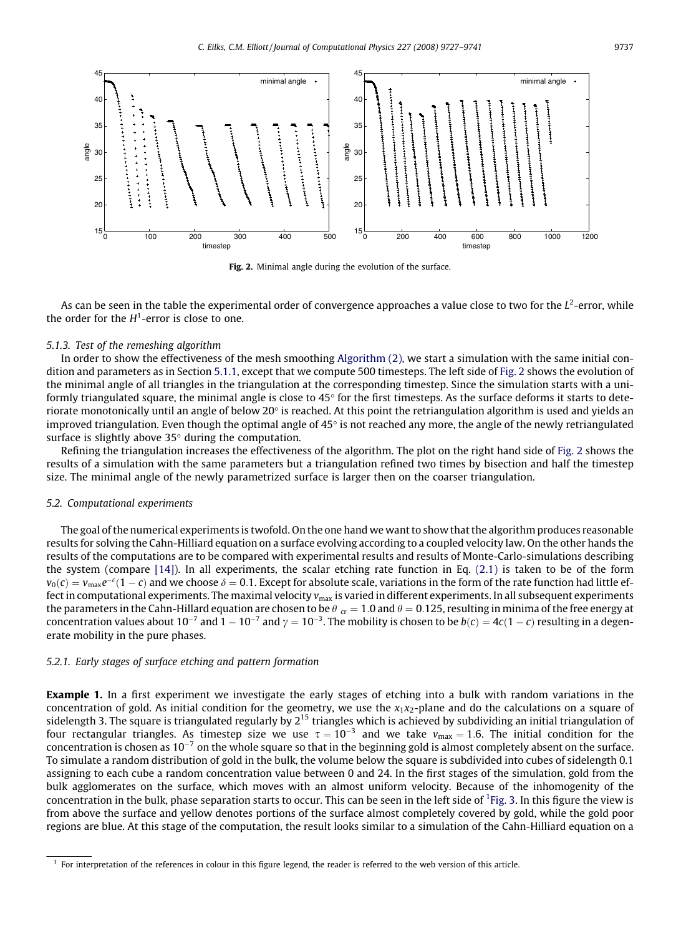



As can be seen in the table the experimental order of convergence approaches a value close to two for the  $L^2$ -error, while the order for the  $H^1$ -error is close to one.

#### 5.1.3. Test of the remeshing algorithm

In order to show the effectiveness of the mesh smoothing [Algorithm \(2\)](#page-8-0), we start a simulation with the same initial condition and parameters as in Section 5.1.1, except that we compute 500 timesteps. The left side of Fig. 2 shows the evolution of the minimal angle of all triangles in the triangulation at the corresponding timestep. Since the simulation starts with a uniformly triangulated square, the minimal angle is close to  $45^{\circ}$  for the first timesteps. As the surface deforms it starts to deteriorate monotonically until an angle of below  $20^{\circ}$  is reached. At this point the retriangulation algorithm is used and yields an improved triangulation. Even though the optimal angle of  $45^{\circ}$  is not reached any more, the angle of the newly retriangulated surface is slightly above  $35^{\circ}$  during the computation.

Refining the triangulation increases the effectiveness of the algorithm. The plot on the right hand side of Fig. 2 shows the results of a simulation with the same parameters but a triangulation refined two times by bisection and half the timestep size. The minimal angle of the newly parametrized surface is larger then on the coarser triangulation.

# 5.2. Computational experiments

The goal of the numerical experiments is twofold. On the one hand we want to show that the algorithm produces reasonable results for solving the Cahn-Hilliard equation on a surface evolving according to a coupled velocity law. On the other hands the results of the computations are to be compared with experimental results and results of Monte-Carlo-simulations describing the system (compare [\[14\]](#page-14-0)). In all experiments, the scalar etching rate function in Eq. [\(2.1\)](#page-2-0) is taken to be of the form  $v_0(c)=v_{\rm max}e^{-c}(1-c)$  and we choose  $\delta=0.1.$  Except for absolute scale, variations in the form of the rate function had little effect in computational experiments. The maximal velocity  $v_{\text{max}}$  is varied in different experiments. In all subsequent experiments the parameters in the Cahn-Hillard equation are chosen to be  $\theta_{cr} = 1.0$  and  $\theta = 0.125$ , resulting in minima of the free energy at concentration values about 10<sup>-7</sup> and 1 – 10<sup>-7</sup> and  $\gamma=10^{-3}$ . The mobility is chosen to be  $b(c)=4c(1-c)$  resulting in a degenerate mobility in the pure phases.

# 5.2.1. Early stages of surface etching and pattern formation

**Example 1.** In a first experiment we investigate the early stages of etching into a bulk with random variations in the concentration of gold. As initial condition for the geometry, we use the  $x_1x_2$ -plane and do the calculations on a square of sidelength 3. The square is triangulated regularly by  $2^{15}$  triangles which is achieved by subdividing an initial triangulation of four rectangular triangles. As timestep size we use  $\tau=10^{-3}$  and we take  $v_{\rm max}=1.6$ . The initial condition for the concentration is chosen as 10<sup>-7</sup> on the whole square so that in the beginning gold is almost completely absent on the surface. To simulate a random distribution of gold in the bulk, the volume below the square is subdivided into cubes of sidelength 0.1 assigning to each cube a random concentration value between 0 and 24. In the first stages of the simulation, gold from the bulk agglomerates on the surface, which moves with an almost uniform velocity. Because of the inhomogenity of the concentration in the bulk, phase separation starts to occur. This can be seen in the left side of <sup>1</sup>[Fig. 3.](#page-11-0) In this figure the view is from above the surface and yellow denotes portions of the surface almost completely covered by gold, while the gold poor regions are blue. At this stage of the computation, the result looks similar to a simulation of the Cahn-Hilliard equation on a

 $<sup>1</sup>$  For interpretation of the references in colour in this figure legend, the reader is referred to the web version of this article.</sup>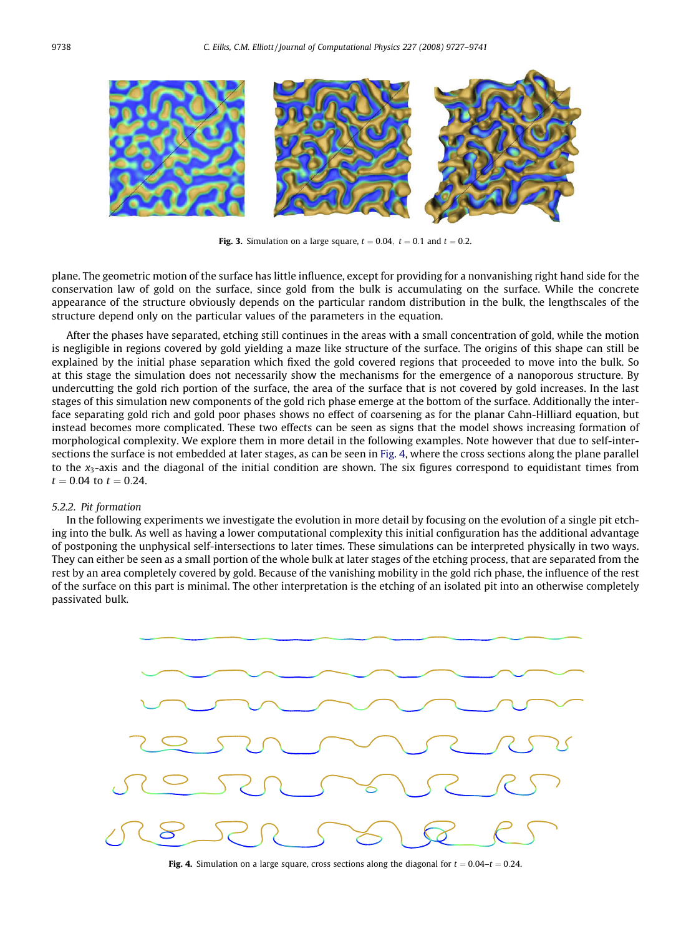<span id="page-11-0"></span>

Fig. 3. Simulation on a large square,  $t = 0.04$ ,  $t = 0.1$  and  $t = 0.2$ .

plane. The geometric motion of the surface has little influence, except for providing for a nonvanishing right hand side for the conservation law of gold on the surface, since gold from the bulk is accumulating on the surface. While the concrete appearance of the structure obviously depends on the particular random distribution in the bulk, the lengthscales of the structure depend only on the particular values of the parameters in the equation.

After the phases have separated, etching still continues in the areas with a small concentration of gold, while the motion is negligible in regions covered by gold yielding a maze like structure of the surface. The origins of this shape can still be explained by the initial phase separation which fixed the gold covered regions that proceeded to move into the bulk. So at this stage the simulation does not necessarily show the mechanisms for the emergence of a nanoporous structure. By undercutting the gold rich portion of the surface, the area of the surface that is not covered by gold increases. In the last stages of this simulation new components of the gold rich phase emerge at the bottom of the surface. Additionally the interface separating gold rich and gold poor phases shows no effect of coarsening as for the planar Cahn-Hilliard equation, but instead becomes more complicated. These two effects can be seen as signs that the model shows increasing formation of morphological complexity. We explore them in more detail in the following examples. Note however that due to self-intersections the surface is not embedded at later stages, as can be seen in Fig. 4, where the cross sections along the plane parallel to the  $x_3$ -axis and the diagonal of the initial condition are shown. The six figures correspond to equidistant times from  $t = 0.04$  to  $t = 0.24$ .

# 5.2.2. Pit formation

In the following experiments we investigate the evolution in more detail by focusing on the evolution of a single pit etching into the bulk. As well as having a lower computational complexity this initial configuration has the additional advantage of postponing the unphysical self-intersections to later times. These simulations can be interpreted physically in two ways. They can either be seen as a small portion of the whole bulk at later stages of the etching process, that are separated from the rest by an area completely covered by gold. Because of the vanishing mobility in the gold rich phase, the influence of the rest of the surface on this part is minimal. The other interpretation is the etching of an isolated pit into an otherwise completely passivated bulk.



Fig. 4. Simulation on a large square, cross sections along the diagonal for  $t = 0.04 - t = 0.24$ .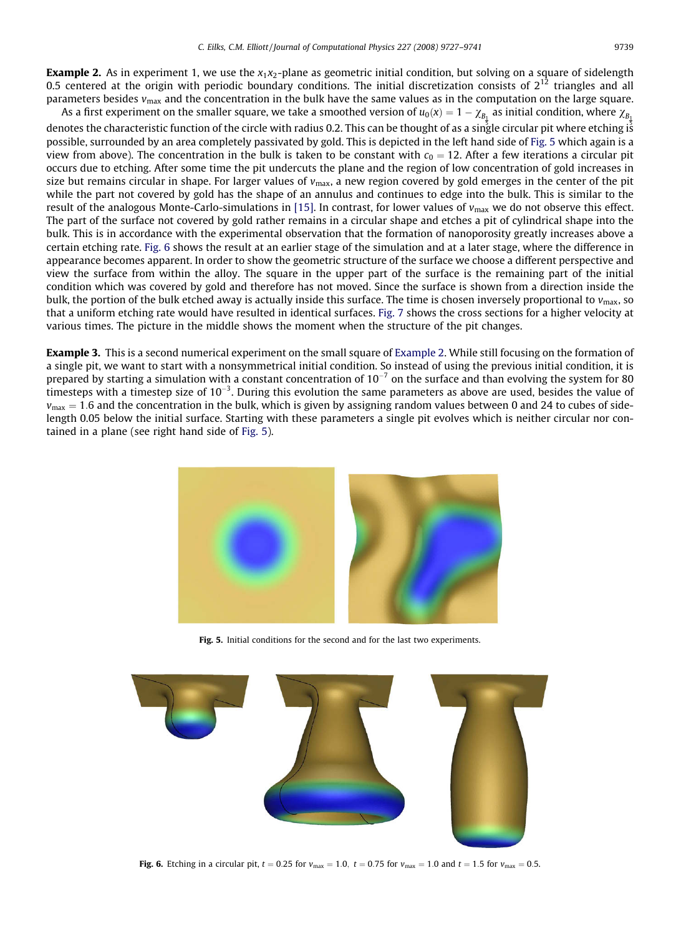<span id="page-12-0"></span>**Example 2.** As in experiment 1, we use the  $x_1x_2$ -plane as geometric initial condition, but solving on a square of sidelength 0.5 centered at the origin with periodic boundary conditions. The initial discretization consists of  $2^{12}$  triangles and all parameters besides  $v_{\text{max}}$  and the concentration in the bulk have the same values as in the computation on the large square.

As a first experiment on the smaller square, we take a smoothed version of  $u_0(x)=1-\chi_{B_1}$  as initial condition, where  $\chi_{B_1}$ denotes the characteristic function of the circle with radius 0.2. This can be thought of as a single circular pit where etching is possible, surrounded by an area completely passivated by gold. This is depicted in the left hand side of Fig. 5 which again is a view from above). The concentration in the bulk is taken to be constant with  $c_0 = 12$ . After a few iterations a circular pit occurs due to etching. After some time the pit undercuts the plane and the region of low concentration of gold increases in size but remains circular in shape. For larger values of  $v_{\text{max}}$ , a new region covered by gold emerges in the center of the pit while the part not covered by gold has the shape of an annulus and continues to edge into the bulk. This is similar to the result of the analogous Monte-Carlo-simulations in [\[15\]](#page-14-0). In contrast, for lower values of  $v_{\text{max}}$  we do not observe this effect. The part of the surface not covered by gold rather remains in a circular shape and etches a pit of cylindrical shape into the bulk. This is in accordance with the experimental observation that the formation of nanoporosity greatly increases above a certain etching rate. Fig. 6 shows the result at an earlier stage of the simulation and at a later stage, where the difference in appearance becomes apparent. In order to show the geometric structure of the surface we choose a different perspective and view the surface from within the alloy. The square in the upper part of the surface is the remaining part of the initial condition which was covered by gold and therefore has not moved. Since the surface is shown from a direction inside the bulk, the portion of the bulk etched away is actually inside this surface. The time is chosen inversely proportional to  $v_{\text{max}}$ , so that a uniform etching rate would have resulted in identical surfaces. [Fig. 7](#page-13-0) shows the cross sections for a higher velocity at various times. The picture in the middle shows the moment when the structure of the pit changes.

Example 3. This is a second numerical experiment on the small square of Example 2. While still focusing on the formation of a single pit, we want to start with a nonsymmetrical initial condition. So instead of using the previous initial condition, it is prepared by starting a simulation with a constant concentration of 10<sup>-7</sup> on the surface and than evolving the system for 80 timesteps with a timestep size of 10<sup>-3</sup>. During this evolution the same parameters as above are used, besides the value of  $v_{\text{max}} = 1.6$  and the concentration in the bulk, which is given by assigning random values between 0 and 24 to cubes of sidelength 0.05 below the initial surface. Starting with these parameters a single pit evolves which is neither circular nor contained in a plane (see right hand side of Fig. 5).



Fig. 5. Initial conditions for the second and for the last two experiments.



Fig. 6. Etching in a circular pit,  $t = 0.25$  for  $v_{\text{max}} = 1.0$ ,  $t = 0.75$  for  $v_{\text{max}} = 1.0$  and  $t = 1.5$  for  $v_{\text{max}} = 0.5$ .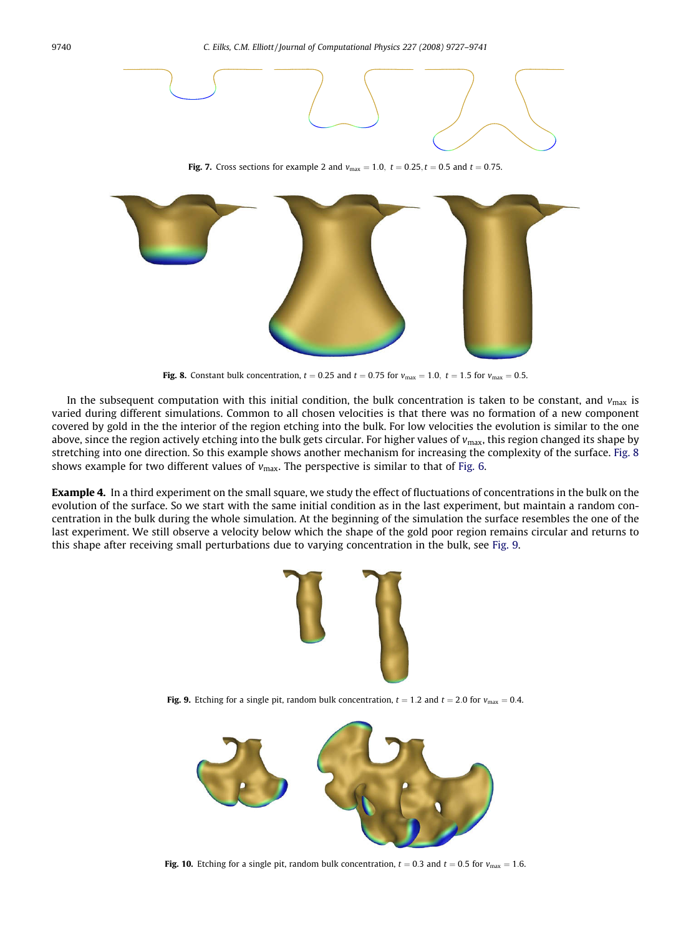<span id="page-13-0"></span>

Fig. 8. Constant bulk concentration,  $t = 0.25$  and  $t = 0.75$  for  $v_{\text{max}} = 1.0$ ,  $t = 1.5$  for  $v_{\text{max}} = 0.5$ .

In the subsequent computation with this initial condition, the bulk concentration is taken to be constant, and  $v_{\text{max}}$  is varied during different simulations. Common to all chosen velocities is that there was no formation of a new component covered by gold in the the interior of the region etching into the bulk. For low velocities the evolution is similar to the one above, since the region actively etching into the bulk gets circular. For higher values of  $v_{\text{max}}$ , this region changed its shape by stretching into one direction. So this example shows another mechanism for increasing the complexity of the surface. Fig. 8 shows example for two different values of  $v_{\text{max}}$ . The perspective is similar to that of [Fig. 6](#page-12-0).

**Example 4.** In a third experiment on the small square, we study the effect of fluctuations of concentrations in the bulk on the evolution of the surface. So we start with the same initial condition as in the last experiment, but maintain a random concentration in the bulk during the whole simulation. At the beginning of the simulation the surface resembles the one of the last experiment. We still observe a velocity below which the shape of the gold poor region remains circular and returns to this shape after receiving small perturbations due to varying concentration in the bulk, see Fig. 9.



Fig. 9. Etching for a single pit, random bulk concentration,  $t = 1.2$  and  $t = 2.0$  for  $v_{\text{max}} = 0.4$ .



Fig. 10. Etching for a single pit, random bulk concentration,  $t = 0.3$  and  $t = 0.5$  for  $v_{\text{max}} = 1.6$ .